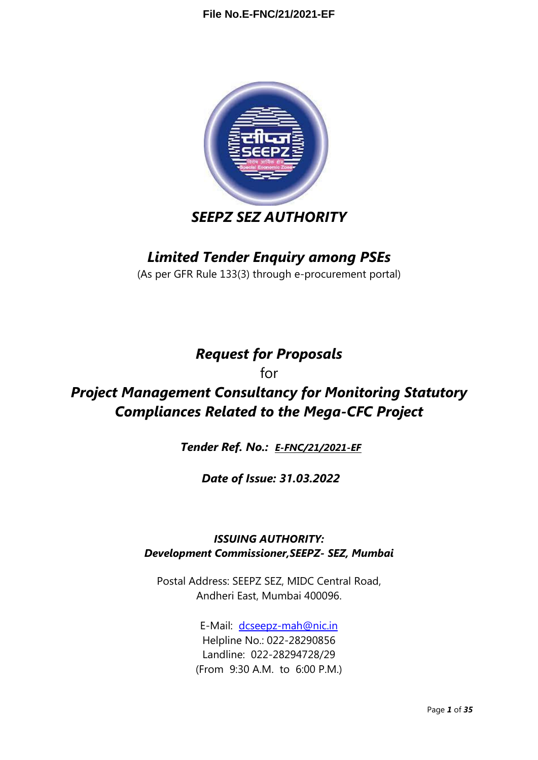

# *SEEPZ SEZ AUTHORITY*

## *Limited Tender Enquiry among PSEs*

(As per GFR Rule 133(3) through e-procurement portal)

# *Request for Proposals*

for

# *Project Management Consultancy for Monitoring Statutory Compliances Related to the Mega-CFC Project*

*Tender Ref. No.: [E-FNC/21/2021-EF](https://eoffice.seepz.co.in/eFile/?x=oVzFJGP2lmqkmB9HGtPL69BG7dl0cfoW)*

*Date of Issue: 31.03.2022*

### *ISSUING AUTHORITY: Development Commissioner,SEEPZ- SEZ, Mumbai*

Postal Address: SEEPZ SEZ, MIDC Central Road, Andheri East, Mumbai 400096.

> E-Mail: [dcseepz-mah@nic.in](mailto:dcseepz-mah@nic.in) Helpline No.: 022-28290856 Landline: 022-28294728/29 (From 9:30 A.M. to 6:00 P.M.)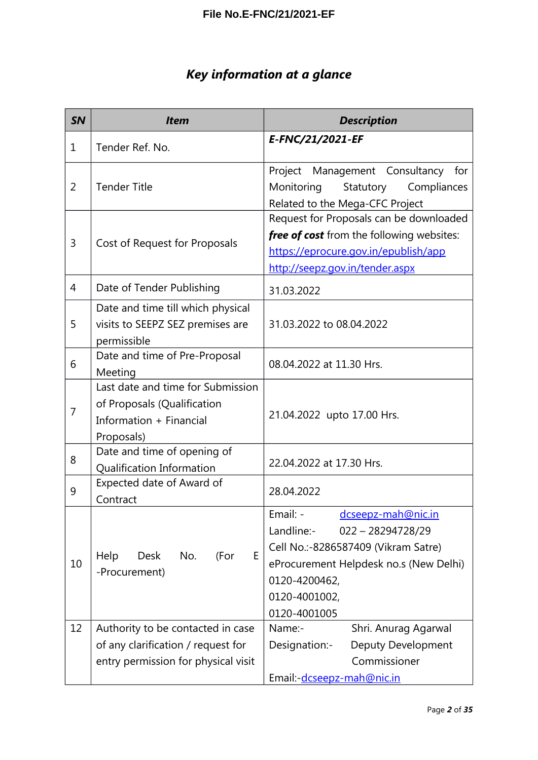# *Key information at a glance*

| <b>SN</b> | <b>Item</b>                                                                                                    | <b>Description</b>                                                                                                                                                                                     |
|-----------|----------------------------------------------------------------------------------------------------------------|--------------------------------------------------------------------------------------------------------------------------------------------------------------------------------------------------------|
| 1         | Tender Ref. No.                                                                                                | E-FNC/21/2021-EF                                                                                                                                                                                       |
| 2         | <b>Tender Title</b>                                                                                            | Project Management Consultancy for<br>Monitoring<br>Statutory<br>Compliances<br>Related to the Mega-CFC Project                                                                                        |
| 3         | Cost of Request for Proposals                                                                                  | Request for Proposals can be downloaded<br>free of cost from the following websites:<br>https://eprocure.gov.in/epublish/app<br>http://seepz.gov.in/tender.aspx                                        |
| 4         | Date of Tender Publishing                                                                                      | 31.03.2022                                                                                                                                                                                             |
| 5         | Date and time till which physical<br>visits to SEEPZ SEZ premises are<br>permissible                           | 31.03.2022 to 08.04.2022                                                                                                                                                                               |
| 6         | Date and time of Pre-Proposal<br>Meeting                                                                       | 08.04.2022 at 11.30 Hrs.                                                                                                                                                                               |
| 7         | Last date and time for Submission<br>of Proposals (Qualification<br>Information + Financial<br>Proposals)      | 21.04.2022 upto 17.00 Hrs.                                                                                                                                                                             |
| 8         | Date and time of opening of<br>Qualification Information                                                       | 22.04.2022 at 17.30 Hrs.                                                                                                                                                                               |
| 9         | Expected date of Award of<br>Contract                                                                          | 28.04.2022                                                                                                                                                                                             |
| 10        | E<br>Help<br>No.<br>(For<br>Desk<br>-Procurement)                                                              | Email: -<br>dcseepz-mah@nic.in<br>Landline:-<br>$022 - 28294728/29$<br>Cell No.:-8286587409 (Vikram Satre)<br>eProcurement Helpdesk no.s (New Delhi)<br>0120-4200462,<br>0120-4001002,<br>0120-4001005 |
| 12        | Authority to be contacted in case<br>of any clarification / request for<br>entry permission for physical visit | Shri. Anurag Agarwal<br>Name:-<br>Designation:-<br>Deputy Development<br>Commissioner<br>Email:-dcseepz-mah@nic.in                                                                                     |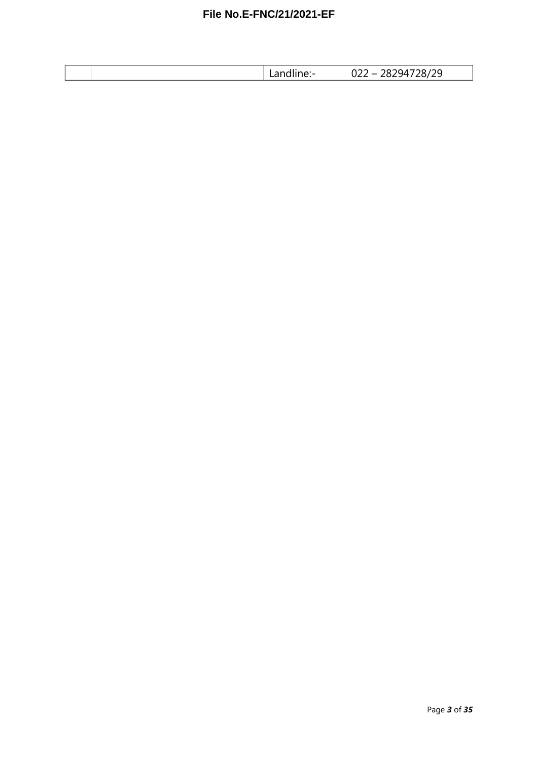| Lanume. | 28294728/29<br>റാറ<br>UZZ. |
|---------|----------------------------|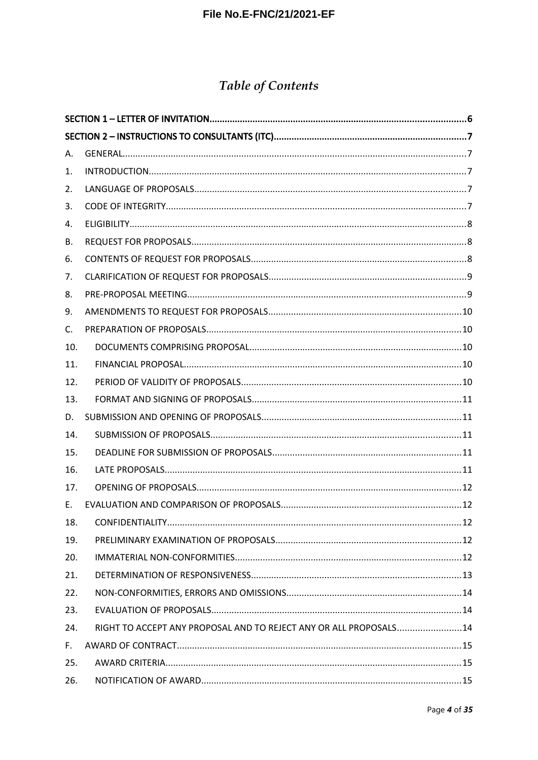# **Table of Contents**

| Α.  |                                                                    |  |
|-----|--------------------------------------------------------------------|--|
| 1.  |                                                                    |  |
| 2.  |                                                                    |  |
| 3.  |                                                                    |  |
| 4.  |                                                                    |  |
| В.  |                                                                    |  |
| 6.  |                                                                    |  |
| 7.  |                                                                    |  |
| 8.  |                                                                    |  |
| 9.  |                                                                    |  |
| C.  |                                                                    |  |
| 10. |                                                                    |  |
| 11. |                                                                    |  |
| 12. |                                                                    |  |
| 13. |                                                                    |  |
| D.  |                                                                    |  |
| 14. |                                                                    |  |
| 15. |                                                                    |  |
| 16. |                                                                    |  |
| 17. |                                                                    |  |
| E.  |                                                                    |  |
| 18. |                                                                    |  |
| 19. |                                                                    |  |
| 20. |                                                                    |  |
| 21. |                                                                    |  |
| 22. |                                                                    |  |
| 23. |                                                                    |  |
| 24. | RIGHT TO ACCEPT ANY PROPOSAL AND TO REJECT ANY OR ALL PROPOSALS 14 |  |
| F.  |                                                                    |  |
| 25. |                                                                    |  |
| 26. |                                                                    |  |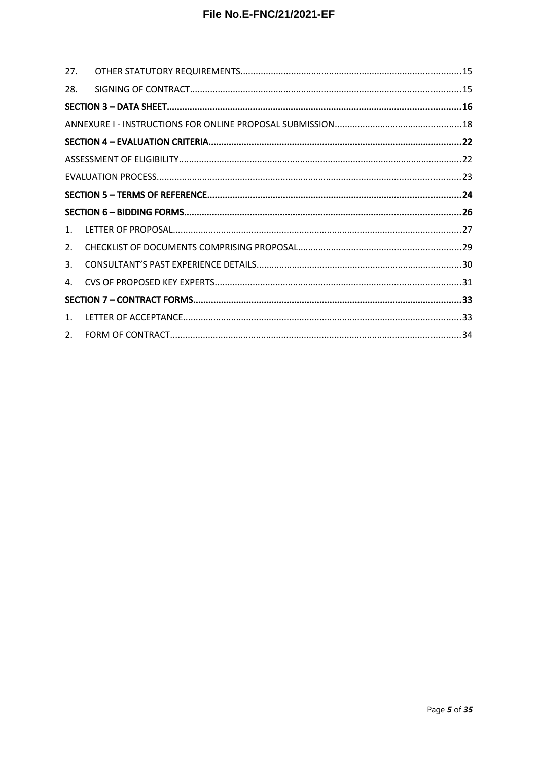| 27. |  |
|-----|--|
| 28. |  |
|     |  |
|     |  |
|     |  |
|     |  |
|     |  |
|     |  |
|     |  |
|     |  |
| 1.  |  |
| 2.  |  |
| 3.  |  |
| 4.  |  |
|     |  |
|     |  |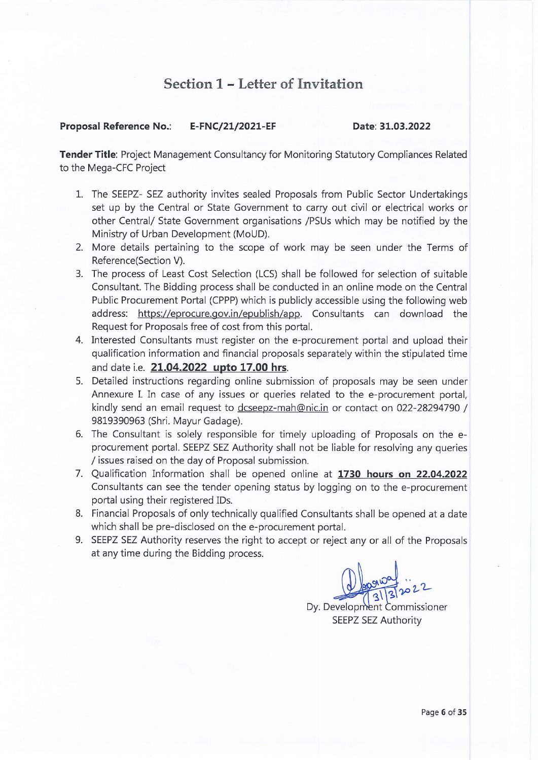### Section 1 - Letter of Invitation

#### **Proposal Reference No.:** E-FNC/21/2021-EF

#### Date: 31.03.2022

Tender Title: Project Management Consultancy for Monitoring Statutory Compliances Related to the Mega-CFC Project

- 1. The SEEPZ- SEZ authority invites sealed Proposals from Public Sector Undertakings set up by the Central or State Government to carry out civil or electrical works or other Central/ State Government organisations /PSUs which may be notified by the Ministry of Urban Development (MoUD).
- 2. More details pertaining to the scope of work may be seen under the Terms of Reference(Section V).
- 3. The process of Least Cost Selection (LCS) shall be followed for selection of suitable Consultant. The Bidding process shall be conducted in an online mode on the Central Public Procurement Portal (CPPP) which is publicly accessible using the following web address: https://eprocure.gov.in/epublish/app. Consultants can download the Request for Proposals free of cost from this portal.
- 4. Interested Consultants must register on the e-procurement portal and upload their qualification information and financial proposals separately within the stipulated time and date i.e. 21.04.2022 upto 17.00 hrs.
- 5. Detailed instructions regarding online submission of proposals may be seen under Annexure I. In case of any issues or queries related to the e-procurement portal, kindly send an email request to dcseepz-mah@nic.in or contact on 022-28294790 / 9819390963 (Shri. Mayur Gadage).
- 6. The Consultant is solely responsible for timely uploading of Proposals on the eprocurement portal. SEEPZ SEZ Authority shall not be liable for resolving any queries / issues raised on the day of Proposal submission.
- 7. Qualification Information shall be opened online at 1730 hours on 22.04.2022 Consultants can see the tender opening status by logging on to the e-procurement portal using their registered IDs.
- 8. Financial Proposals of only technically qualified Consultants shall be opened at a date which shall be pre-disclosed on the e-procurement portal.
- 9. SEEPZ SEZ Authority reserves the right to accept or reject any or all of the Proposals at any time during the Bidding process.

Dy. Development Commissioner SEEPZ SEZ Authority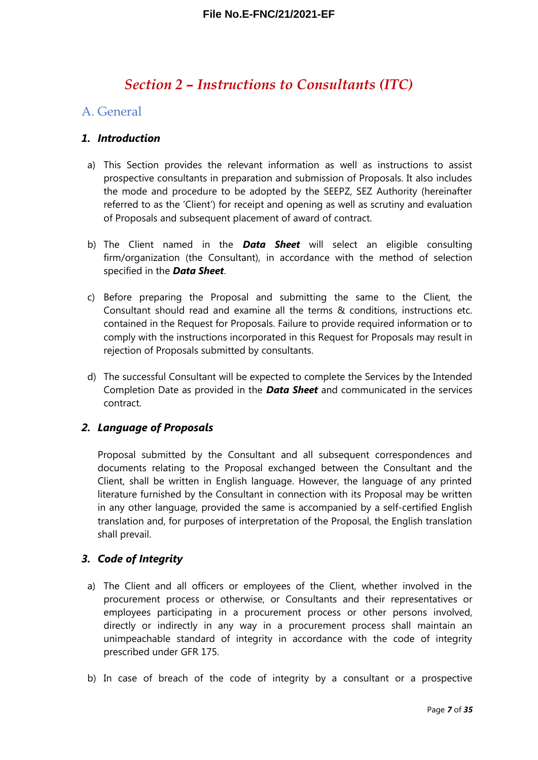### <span id="page-6-4"></span>*Section 2 – Instructions to Consultants (ITC)*

#### <span id="page-6-3"></span>A. General

#### <span id="page-6-2"></span>*1. Introduction*

- a) This Section provides the relevant information as well as instructions to assist prospective consultants in preparation and submission of Proposals. It also includes the mode and procedure to be adopted by the SEEPZ, SEZ Authority (hereinafter referred to as the 'Client') for receipt and opening as well as scrutiny and evaluation of Proposals and subsequent placement of award of contract.
- b) The Client named in the *Data Sheet* will select an eligible consulting firm/organization (the Consultant), in accordance with the method of selection specified in the *Data Sheet*.
- c) Before preparing the Proposal and submitting the same to the Client, the Consultant should read and examine all the terms & conditions, instructions etc. contained in the Request for Proposals. Failure to provide required information or to comply with the instructions incorporated in this Request for Proposals may result in rejection of Proposals submitted by consultants.
- d) The successful Consultant will be expected to complete the Services by the Intended Completion Date as provided in the *Data Sheet* and communicated in the services contract.

#### <span id="page-6-1"></span>*2. Language of Proposals*

Proposal submitted by the Consultant and all subsequent correspondences and documents relating to the Proposal exchanged between the Consultant and the Client, shall be written in English language. However, the language of any printed literature furnished by the Consultant in connection with its Proposal may be written in any other language, provided the same is accompanied by a self-certified English translation and, for purposes of interpretation of the Proposal, the English translation shall prevail.

#### <span id="page-6-0"></span>*3. Code of Integrity*

- a) The Client and all officers or employees of the Client, whether involved in the procurement process or otherwise, or Consultants and their representatives or employees participating in a procurement process or other persons involved, directly or indirectly in any way in a procurement process shall maintain an unimpeachable standard of integrity in accordance with the code of integrity prescribed under GFR 175.
- b) In case of breach of the code of integrity by a consultant or a prospective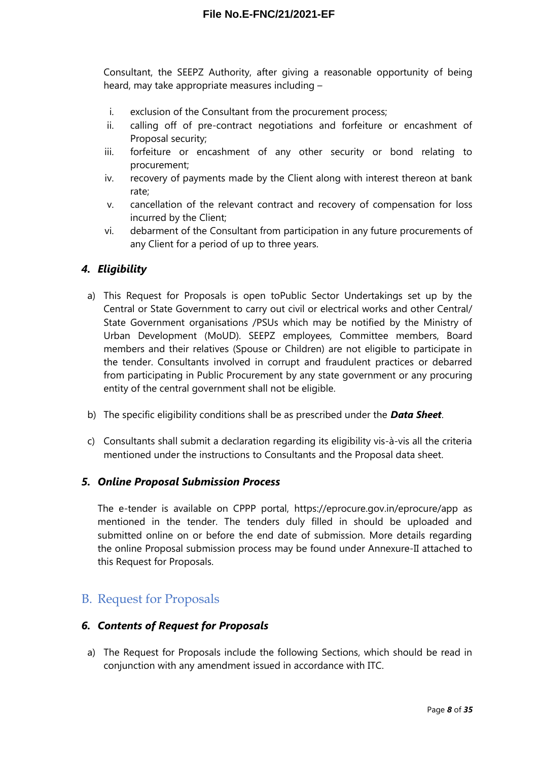Consultant, the SEEPZ Authority, after giving a reasonable opportunity of being heard, may take appropriate measures including –

- i. exclusion of the Consultant from the procurement process;
- ii. calling off of pre-contract negotiations and forfeiture or encashment of Proposal security;
- iii. forfeiture or encashment of any other security or bond relating to procurement;
- iv. recovery of payments made by the Client along with interest thereon at bank rate;
- v. cancellation of the relevant contract and recovery of compensation for loss incurred by the Client;
- vi. debarment of the Consultant from participation in any future procurements of any Client for a period of up to three years.

#### <span id="page-7-2"></span>*4. Eligibility*

- a) This Request for Proposals is open toPublic Sector Undertakings set up by the Central or State Government to carry out civil or electrical works and other Central/ State Government organisations /PSUs which may be notified by the Ministry of Urban Development (MoUD). SEEPZ employees, Committee members, Board members and their relatives (Spouse or Children) are not eligible to participate in the tender. Consultants involved in corrupt and fraudulent practices or debarred from participating in Public Procurement by any state government or any procuring entity of the central government shall not be eligible.
- b) The specific eligibility conditions shall be as prescribed under the *Data Sheet*.
- c) Consultants shall submit a declaration regarding its eligibility vis-à-vis all the criteria mentioned under the instructions to Consultants and the Proposal data sheet.

#### *5. Online Proposal Submission Process*

The e-tender is available on CPPP portal, https://eprocure.gov.in/eprocure/app as mentioned in the tender. The tenders duly filled in should be uploaded and submitted online on or before the end date of submission. More details regarding the online Proposal submission process may be found under Annexure-II attached to this Request for Proposals.

### <span id="page-7-1"></span>B. Request for Proposals

#### <span id="page-7-0"></span>*6. Contents of Request for Proposals*

a) The Request for Proposals include the following Sections, which should be read in conjunction with any amendment issued in accordance with ITC.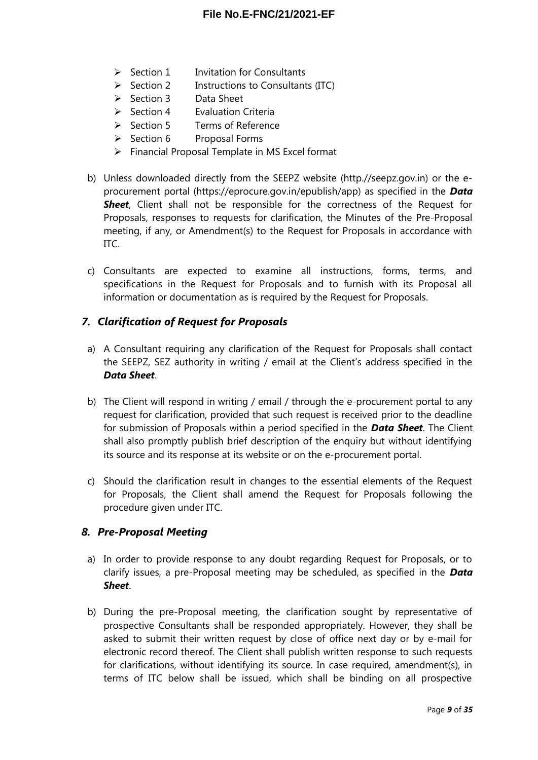- $\triangleright$  Section 1 Invitation for Consultants
- $\triangleright$  Section 2 Instructions to Consultants (ITC)
- $\triangleright$  Section 3 Data Sheet
- $\triangleright$  Section 4 Evaluation Criteria
- Section 5 Terms of Reference
- $\triangleright$  Section 6 Proposal Forms
- $\triangleright$  Financial Proposal Template in MS Excel format
- b) Unless downloaded directly from the SEEPZ website (http.//seepz.gov.in) or the eprocurement portal (https://eprocure.gov.in/epublish/app) as specified in the *Data Sheet*, Client shall not be responsible for the correctness of the Request for Proposals, responses to requests for clarification, the Minutes of the Pre-Proposal meeting, if any, or Amendment(s) to the Request for Proposals in accordance with ITC.
- c) Consultants are expected to examine all instructions, forms, terms, and specifications in the Request for Proposals and to furnish with its Proposal all information or documentation as is required by the Request for Proposals.

#### <span id="page-8-1"></span>*7. Clarification of Request for Proposals*

- a) A Consultant requiring any clarification of the Request for Proposals shall contact the SEEPZ, SEZ authority in writing / email at the Client's address specified in the *Data Sheet*.
- b) The Client will respond in writing / email / through the e-procurement portal to any request for clarification, provided that such request is received prior to the deadline for submission of Proposals within a period specified in the *Data Sheet*. The Client shall also promptly publish brief description of the enquiry but without identifying its source and its response at its website or on the e-procurement portal.
- c) Should the clarification result in changes to the essential elements of the Request for Proposals, the Client shall amend the Request for Proposals following the procedure given under ITC.

#### <span id="page-8-0"></span>*8. Pre-Proposal Meeting*

- a) In order to provide response to any doubt regarding Request for Proposals, or to clarify issues, a pre-Proposal meeting may be scheduled, as specified in the *Data Sheet*.
- b) During the pre-Proposal meeting, the clarification sought by representative of prospective Consultants shall be responded appropriately. However, they shall be asked to submit their written request by close of office next day or by e-mail for electronic record thereof. The Client shall publish written response to such requests for clarifications, without identifying its source. In case required, amendment(s), in terms of ITC below shall be issued, which shall be binding on all prospective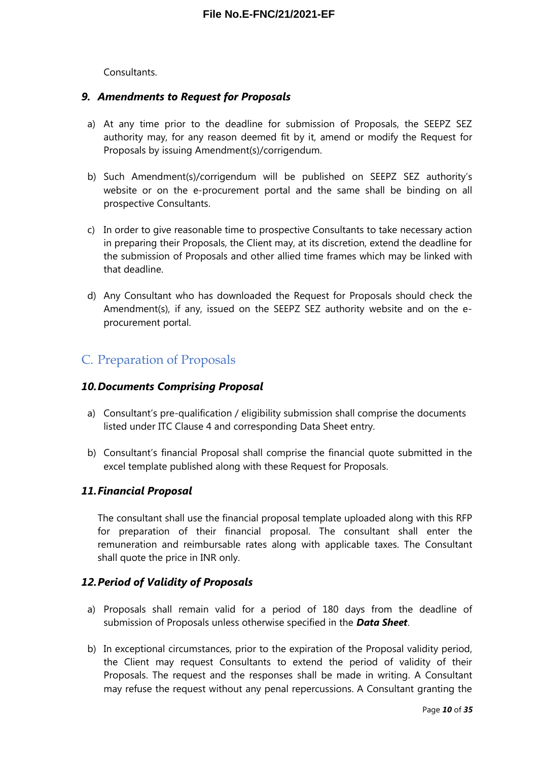#### Consultants.

#### <span id="page-9-4"></span>*9. Amendments to Request for Proposals*

- a) At any time prior to the deadline for submission of Proposals, the SEEPZ SEZ authority may, for any reason deemed fit by it, amend or modify the Request for Proposals by issuing Amendment(s)/corrigendum.
- b) Such Amendment(s)/corrigendum will be published on SEEPZ SEZ authority's website or on the e-procurement portal and the same shall be binding on all prospective Consultants.
- c) In order to give reasonable time to prospective Consultants to take necessary action in preparing their Proposals, the Client may, at its discretion, extend the deadline for the submission of Proposals and other allied time frames which may be linked with that deadline.
- d) Any Consultant who has downloaded the Request for Proposals should check the Amendment(s), if any, issued on the SEEPZ SEZ authority website and on the eprocurement portal.

### <span id="page-9-3"></span>C. Preparation of Proposals

#### <span id="page-9-2"></span>*10.Documents Comprising Proposal*

- a) Consultant's pre-qualification / eligibility submission shall comprise the documents listed under ITC Clause 4 and corresponding Data Sheet entry.
- b) Consultant's financial Proposal shall comprise the financial quote submitted in the excel template published along with these Request for Proposals.

#### <span id="page-9-1"></span>*11.Financial Proposal*

The consultant shall use the financial proposal template uploaded along with this RFP for preparation of their financial proposal. The consultant shall enter the remuneration and reimbursable rates along with applicable taxes. The Consultant shall quote the price in INR only.

#### <span id="page-9-0"></span>*12.Period of Validity of Proposals*

- a) Proposals shall remain valid for a period of 180 days from the deadline of submission of Proposals unless otherwise specified in the *Data Sheet*.
- b) In exceptional circumstances, prior to the expiration of the Proposal validity period, the Client may request Consultants to extend the period of validity of their Proposals. The request and the responses shall be made in writing. A Consultant may refuse the request without any penal repercussions. A Consultant granting the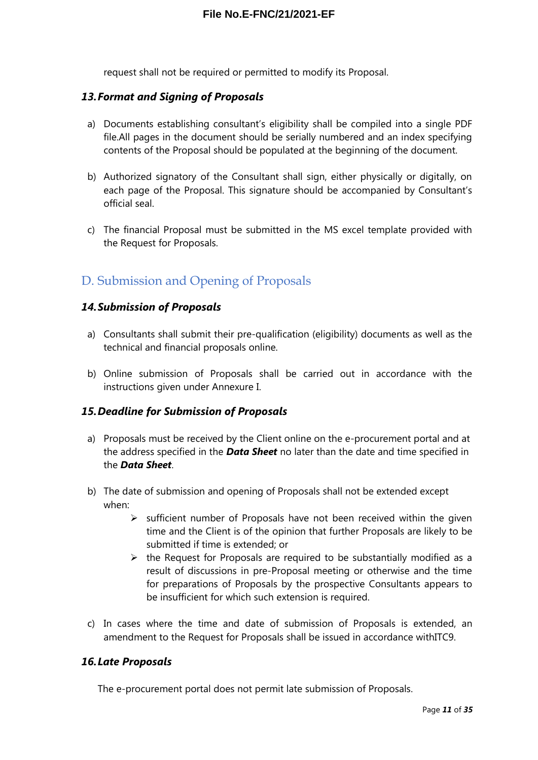request shall not be required or permitted to modify its Proposal.

#### <span id="page-10-4"></span>*13.Format and Signing of Proposals*

- a) Documents establishing consultant's eligibility shall be compiled into a single PDF file.All pages in the document should be serially numbered and an index specifying contents of the Proposal should be populated at the beginning of the document.
- b) Authorized signatory of the Consultant shall sign, either physically or digitally, on each page of the Proposal. This signature should be accompanied by Consultant's official seal.
- c) The financial Proposal must be submitted in the MS excel template provided with the Request for Proposals.

### <span id="page-10-0"></span>D. Submission and Opening of Proposals

#### <span id="page-10-3"></span>*14.Submission of Proposals*

- a) Consultants shall submit their pre-qualification (eligibility) documents as well as the technical and financial proposals online.
- b) Online submission of Proposals shall be carried out in accordance with the instructions given under Annexure I.

#### <span id="page-10-2"></span>*15.Deadline for Submission of Proposals*

- a) Proposals must be received by the Client online on the e-procurement portal and at the address specified in the *Data Sheet* no later than the date and time specified in the *Data Sheet*.
- b) The date of submission and opening of Proposals shall not be extended except when:
	- $\triangleright$  sufficient number of Proposals have not been received within the given time and the Client is of the opinion that further Proposals are likely to be submitted if time is extended; or
	- $\triangleright$  the Request for Proposals are required to be substantially modified as a result of discussions in pre-Proposal meeting or otherwise and the time for preparations of Proposals by the prospective Consultants appears to be insufficient for which such extension is required.
- c) In cases where the time and date of submission of Proposals is extended, an amendment to the Request for Proposals shall be issued in accordance withITC9.

#### <span id="page-10-1"></span>*16.Late Proposals*

The e-procurement portal does not permit late submission of Proposals.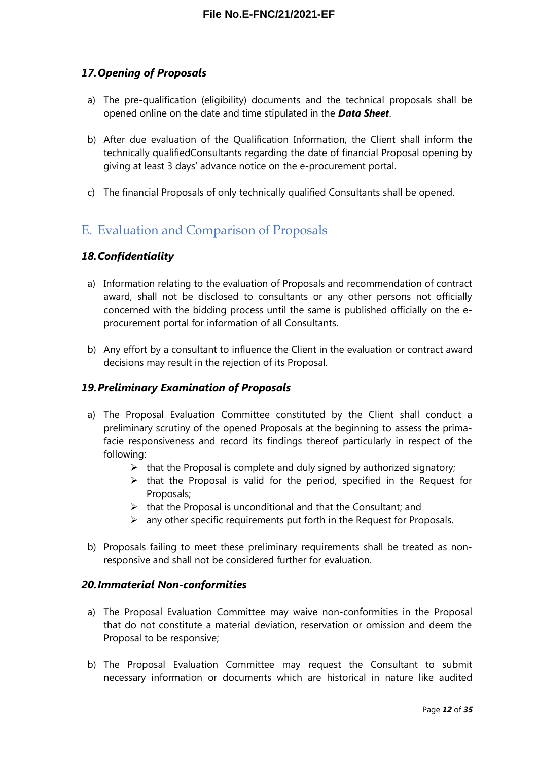#### <span id="page-11-4"></span>*17.Opening of Proposals*

- a) The pre-qualification (eligibility) documents and the technical proposals shall be opened online on the date and time stipulated in the *Data Sheet*.
- b) After due evaluation of the Qualification Information, the Client shall inform the technically qualifiedConsultants regarding the date of financial Proposal opening by giving at least 3 days' advance notice on the e-procurement portal.
- c) The financial Proposals of only technically qualified Consultants shall be opened.

### <span id="page-11-3"></span>E. Evaluation and Comparison of Proposals

#### <span id="page-11-2"></span>*18.Confidentiality*

- a) Information relating to the evaluation of Proposals and recommendation of contract award, shall not be disclosed to consultants or any other persons not officially concerned with the bidding process until the same is published officially on the eprocurement portal for information of all Consultants.
- b) Any effort by a consultant to influence the Client in the evaluation or contract award decisions may result in the rejection of its Proposal.

#### <span id="page-11-1"></span>*19.Preliminary Examination of Proposals*

- a) The Proposal Evaluation Committee constituted by the Client shall conduct a preliminary scrutiny of the opened Proposals at the beginning to assess the primafacie responsiveness and record its findings thereof particularly in respect of the following:
	- $\triangleright$  that the Proposal is complete and duly signed by authorized signatory;
	- $\triangleright$  that the Proposal is valid for the period, specified in the Request for Proposals;
	- $\triangleright$  that the Proposal is unconditional and that the Consultant; and
	- $\triangleright$  any other specific requirements put forth in the Request for Proposals.
- b) Proposals failing to meet these preliminary requirements shall be treated as nonresponsive and shall not be considered further for evaluation.

#### <span id="page-11-0"></span>*20.Immaterial Non-conformities*

- a) The Proposal Evaluation Committee may waive non-conformities in the Proposal that do not constitute a material deviation, reservation or omission and deem the Proposal to be responsive;
- b) The Proposal Evaluation Committee may request the Consultant to submit necessary information or documents which are historical in nature like audited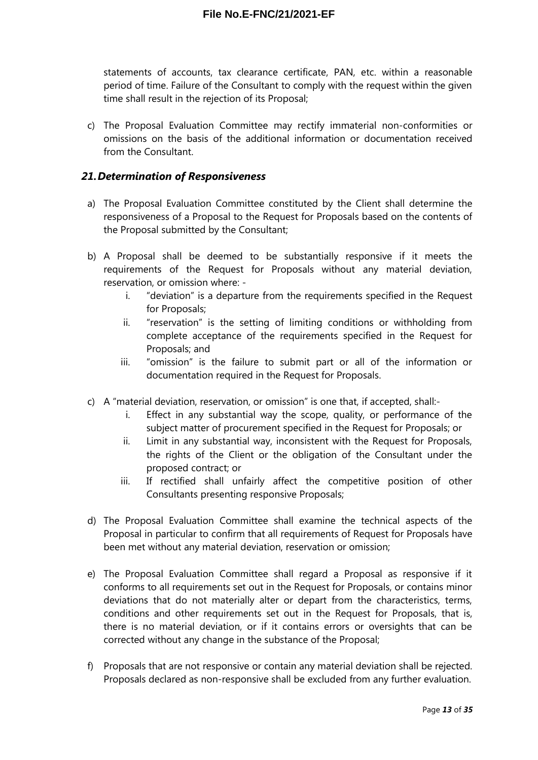statements of accounts, tax clearance certificate, PAN, etc. within a reasonable period of time. Failure of the Consultant to comply with the request within the given time shall result in the rejection of its Proposal;

c) The Proposal Evaluation Committee may rectify immaterial non-conformities or omissions on the basis of the additional information or documentation received from the Consultant.

#### <span id="page-12-0"></span>*21.Determination of Responsiveness*

- a) The Proposal Evaluation Committee constituted by the Client shall determine the responsiveness of a Proposal to the Request for Proposals based on the contents of the Proposal submitted by the Consultant;
- b) A Proposal shall be deemed to be substantially responsive if it meets the requirements of the Request for Proposals without any material deviation, reservation, or omission where:
	- i. "deviation" is a departure from the requirements specified in the Request for Proposals;
	- ii. "reservation" is the setting of limiting conditions or withholding from complete acceptance of the requirements specified in the Request for Proposals; and
	- iii. "omission" is the failure to submit part or all of the information or documentation required in the Request for Proposals.
- c) A "material deviation, reservation, or omission" is one that, if accepted, shall:
	- i. Effect in any substantial way the scope, quality, or performance of the subject matter of procurement specified in the Request for Proposals; or
	- ii. Limit in any substantial way, inconsistent with the Request for Proposals, the rights of the Client or the obligation of the Consultant under the proposed contract; or
	- iii. If rectified shall unfairly affect the competitive position of other Consultants presenting responsive Proposals;
- d) The Proposal Evaluation Committee shall examine the technical aspects of the Proposal in particular to confirm that all requirements of Request for Proposals have been met without any material deviation, reservation or omission;
- e) The Proposal Evaluation Committee shall regard a Proposal as responsive if it conforms to all requirements set out in the Request for Proposals, or contains minor deviations that do not materially alter or depart from the characteristics, terms, conditions and other requirements set out in the Request for Proposals, that is, there is no material deviation, or if it contains errors or oversights that can be corrected without any change in the substance of the Proposal;
- f) Proposals that are not responsive or contain any material deviation shall be rejected. Proposals declared as non-responsive shall be excluded from any further evaluation.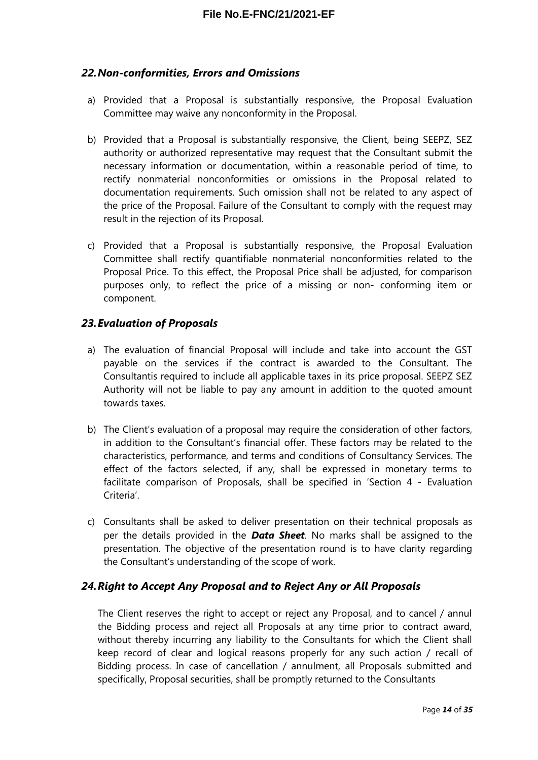#### <span id="page-13-2"></span>*22.Non-conformities, Errors and Omissions*

- a) Provided that a Proposal is substantially responsive, the Proposal Evaluation Committee may waive any nonconformity in the Proposal.
- b) Provided that a Proposal is substantially responsive, the Client, being SEEPZ, SEZ authority or authorized representative may request that the Consultant submit the necessary information or documentation, within a reasonable period of time, to rectify nonmaterial nonconformities or omissions in the Proposal related to documentation requirements. Such omission shall not be related to any aspect of the price of the Proposal. Failure of the Consultant to comply with the request may result in the rejection of its Proposal.
- c) Provided that a Proposal is substantially responsive, the Proposal Evaluation Committee shall rectify quantifiable nonmaterial nonconformities related to the Proposal Price. To this effect, the Proposal Price shall be adjusted, for comparison purposes only, to reflect the price of a missing or non- conforming item or component.

#### <span id="page-13-1"></span>*23.Evaluation of Proposals*

- a) The evaluation of financial Proposal will include and take into account the GST payable on the services if the contract is awarded to the Consultant. The Consultantis required to include all applicable taxes in its price proposal. SEEPZ SEZ Authority will not be liable to pay any amount in addition to the quoted amount towards taxes.
- b) The Client's evaluation of a proposal may require the consideration of other factors, in addition to the Consultant's financial offer. These factors may be related to the characteristics, performance, and terms and conditions of Consultancy Services. The effect of the factors selected, if any, shall be expressed in monetary terms to facilitate comparison of Proposals, shall be specified in 'Section 4 - Evaluation Criteria'.
- c) Consultants shall be asked to deliver presentation on their technical proposals as per the details provided in the *Data Sheet*. No marks shall be assigned to the presentation. The objective of the presentation round is to have clarity regarding the Consultant's understanding of the scope of work.

#### <span id="page-13-0"></span>*24.Right to Accept Any Proposal and to Reject Any or All Proposals*

The Client reserves the right to accept or reject any Proposal, and to cancel / annul the Bidding process and reject all Proposals at any time prior to contract award, without thereby incurring any liability to the Consultants for which the Client shall keep record of clear and logical reasons properly for any such action / recall of Bidding process. In case of cancellation / annulment, all Proposals submitted and specifically, Proposal securities, shall be promptly returned to the Consultants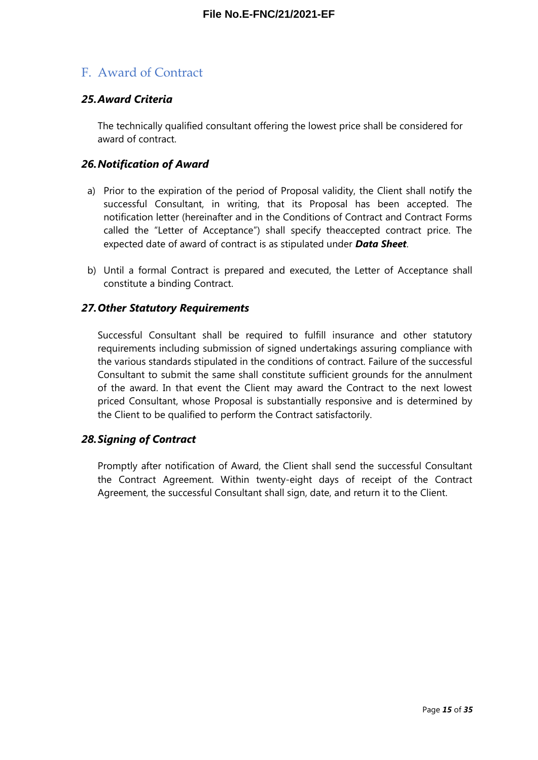### <span id="page-14-2"></span>F. Award of Contract

#### <span id="page-14-1"></span>*25.Award Criteria*

The technically qualified consultant offering the lowest price shall be considered for award of contract.

#### <span id="page-14-0"></span>*26.Notification of Award*

- a) Prior to the expiration of the period of Proposal validity, the Client shall notify the successful Consultant, in writing, that its Proposal has been accepted. The notification letter (hereinafter and in the Conditions of Contract and Contract Forms called the "Letter of Acceptance") shall specify theaccepted contract price. The expected date of award of contract is as stipulated under *Data Sheet*.
- b) Until a formal Contract is prepared and executed, the Letter of Acceptance shall constitute a binding Contract.

#### <span id="page-14-4"></span>*27.Other Statutory Requirements*

Successful Consultant shall be required to fulfill insurance and other statutory requirements including submission of signed undertakings assuring compliance with the various standards stipulated in the conditions of contract. Failure of the successful Consultant to submit the same shall constitute sufficient grounds for the annulment of the award. In that event the Client may award the Contract to the next lowest priced Consultant, whose Proposal is substantially responsive and is determined by the Client to be qualified to perform the Contract satisfactorily.

#### <span id="page-14-3"></span>*28.Signing of Contract*

Promptly after notification of Award, the Client shall send the successful Consultant the Contract Agreement. Within twenty-eight days of receipt of the Contract Agreement, the successful Consultant shall sign, date, and return it to the Client.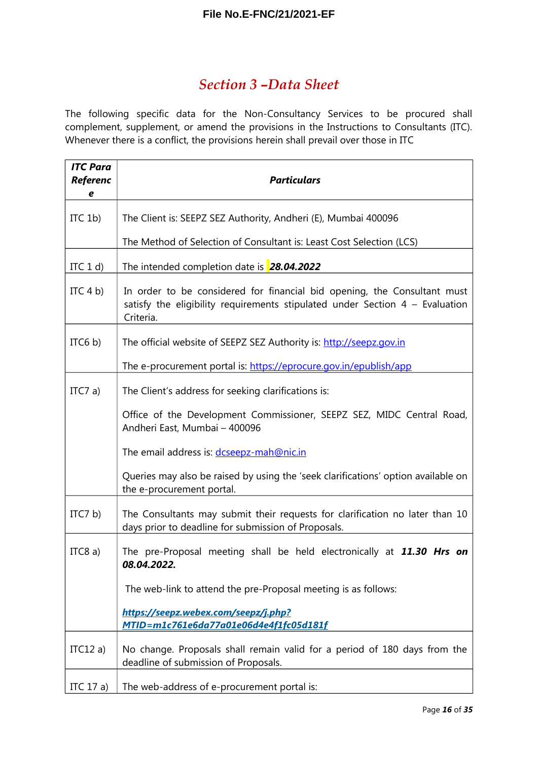### <span id="page-15-0"></span>*Section 3 –Data Sheet*

The following specific data for the Non-Consultancy Services to be procured shall complement, supplement, or amend the provisions in the Instructions to Consultants (ITC). Whenever there is a conflict, the provisions herein shall prevail over those in ITC

| <b>ITC Para</b><br><b>Referenc</b><br>e | <b>Particulars</b>                                                                                                                                                      |  |
|-----------------------------------------|-------------------------------------------------------------------------------------------------------------------------------------------------------------------------|--|
| ITC $1b$ )                              | The Client is: SEEPZ SEZ Authority, Andheri (E), Mumbai 400096                                                                                                          |  |
|                                         | The Method of Selection of Consultant is: Least Cost Selection (LCS)                                                                                                    |  |
| ITC $1 d$                               | The intended completion date is 28.04.2022                                                                                                                              |  |
| ITC $4 b$                               | In order to be considered for financial bid opening, the Consultant must<br>satisfy the eligibility requirements stipulated under Section $4$ – Evaluation<br>Criteria. |  |
| ITC $6 b$                               | The official website of SEEPZ SEZ Authority is: http://seepz.gov.in                                                                                                     |  |
|                                         | The e-procurement portal is: https://eprocure.gov.in/epublish/app                                                                                                       |  |
| ITC7 a)                                 | The Client's address for seeking clarifications is:                                                                                                                     |  |
|                                         | Office of the Development Commissioner, SEEPZ SEZ, MIDC Central Road,<br>Andheri East, Mumbai - 400096                                                                  |  |
|                                         | The email address is: dcseepz-mah@nic.in                                                                                                                                |  |
|                                         | Queries may also be raised by using the 'seek clarifications' option available on<br>the e-procurement portal.                                                          |  |
| ITC7 $b$ )                              | The Consultants may submit their requests for clarification no later than 10<br>days prior to deadline for submission of Proposals.                                     |  |
| ITC8 $a)$                               | The pre-Proposal meeting shall be held electronically at 11.30 Hrs on<br>08.04.2022.                                                                                    |  |
|                                         | The web-link to attend the pre-Proposal meeting is as follows:                                                                                                          |  |
|                                         | https://seepz.webex.com/seepz/j.php?<br>MTID=m1c761e6da77a01e06d4e4f1fc05d181f                                                                                          |  |
| ITC12 a)                                | No change. Proposals shall remain valid for a period of 180 days from the<br>deadline of submission of Proposals.                                                       |  |
| ITC 17 a)                               | The web-address of e-procurement portal is:                                                                                                                             |  |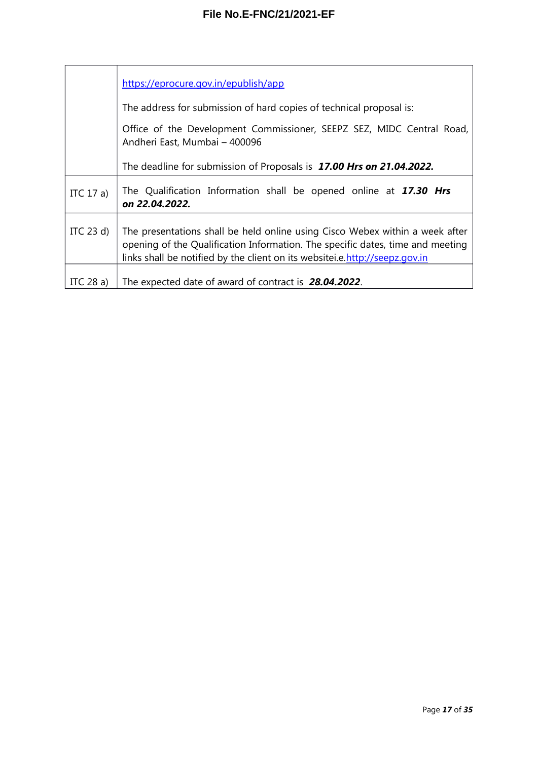|                                                                                                        | https://eprocure.gov.in/epublish/app                                                                                                                                                                                                          |  |
|--------------------------------------------------------------------------------------------------------|-----------------------------------------------------------------------------------------------------------------------------------------------------------------------------------------------------------------------------------------------|--|
|                                                                                                        | The address for submission of hard copies of technical proposal is:                                                                                                                                                                           |  |
| Office of the Development Commissioner, SEEPZ SEZ, MIDC Central Road,<br>Andheri East, Mumbai - 400096 |                                                                                                                                                                                                                                               |  |
|                                                                                                        | The deadline for submission of Proposals is 17.00 Hrs on 21.04.2022.                                                                                                                                                                          |  |
| ITC 17 a)                                                                                              | The Qualification Information shall be opened online at 17.30 Hrs<br>on 22.04.2022.                                                                                                                                                           |  |
| ITC $23 d$                                                                                             | The presentations shall be held online using Cisco Webex within a week after<br>opening of the Qualification Information. The specific dates, time and meeting<br>links shall be notified by the client on its websitei.e.http://seepz.gov.in |  |
| ITC $28a$ )                                                                                            | The expected date of award of contract is 28.04.2022.                                                                                                                                                                                         |  |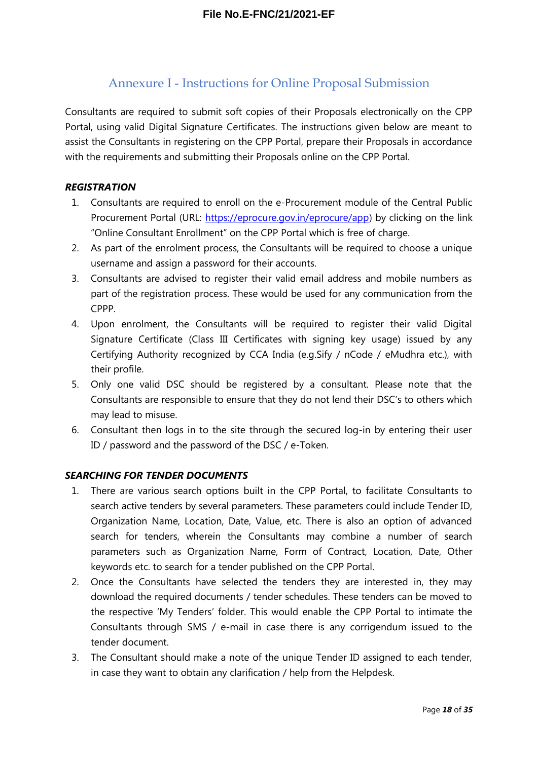### <span id="page-17-0"></span>Annexure I - Instructions for Online Proposal Submission

Consultants are required to submit soft copies of their Proposals electronically on the CPP Portal, using valid Digital Signature Certificates. The instructions given below are meant to assist the Consultants in registering on the CPP Portal, prepare their Proposals in accordance with the requirements and submitting their Proposals online on the CPP Portal.

#### *REGISTRATION*

- 1. Consultants are required to enroll on the e-Procurement module of the Central Public Procurement Portal (URL: [https://eprocure.gov.in/eprocure/app\)](https://eprocure.gov.in/eprocure/app) by clicking on the link "Online Consultant Enrollment" on the CPP Portal which is free of charge.
- 2. As part of the enrolment process, the Consultants will be required to choose a unique username and assign a password for their accounts.
- 3. Consultants are advised to register their valid email address and mobile numbers as part of the registration process. These would be used for any communication from the CPPP.
- 4. Upon enrolment, the Consultants will be required to register their valid Digital Signature Certificate (Class III Certificates with signing key usage) issued by any Certifying Authority recognized by CCA India (e.g.Sify / nCode / eMudhra etc.), with their profile.
- 5. Only one valid DSC should be registered by a consultant. Please note that the Consultants are responsible to ensure that they do not lend their DSC's to others which may lead to misuse.
- 6. Consultant then logs in to the site through the secured log-in by entering their user ID / password and the password of the DSC / e-Token.

#### *SEARCHING FOR TENDER DOCUMENTS*

- 1. There are various search options built in the CPP Portal, to facilitate Consultants to search active tenders by several parameters. These parameters could include Tender ID, Organization Name, Location, Date, Value, etc. There is also an option of advanced search for tenders, wherein the Consultants may combine a number of search parameters such as Organization Name, Form of Contract, Location, Date, Other keywords etc. to search for a tender published on the CPP Portal.
- 2. Once the Consultants have selected the tenders they are interested in, they may download the required documents / tender schedules. These tenders can be moved to the respective 'My Tenders' folder. This would enable the CPP Portal to intimate the Consultants through SMS / e-mail in case there is any corrigendum issued to the tender document.
- 3. The Consultant should make a note of the unique Tender ID assigned to each tender, in case they want to obtain any clarification / help from the Helpdesk.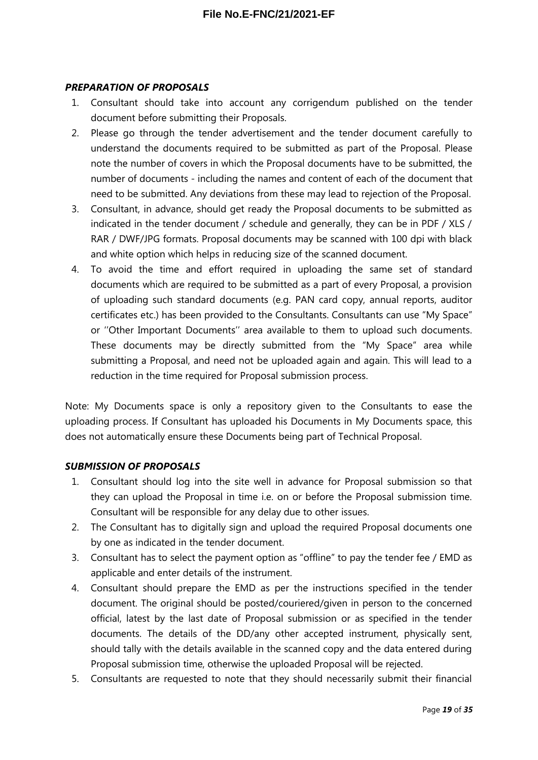#### *PREPARATION OF PROPOSALS*

- 1. Consultant should take into account any corrigendum published on the tender document before submitting their Proposals.
- 2. Please go through the tender advertisement and the tender document carefully to understand the documents required to be submitted as part of the Proposal. Please note the number of covers in which the Proposal documents have to be submitted, the number of documents - including the names and content of each of the document that need to be submitted. Any deviations from these may lead to rejection of the Proposal.
- 3. Consultant, in advance, should get ready the Proposal documents to be submitted as indicated in the tender document / schedule and generally, they can be in PDF / XLS / RAR / DWF/JPG formats. Proposal documents may be scanned with 100 dpi with black and white option which helps in reducing size of the scanned document.
- 4. To avoid the time and effort required in uploading the same set of standard documents which are required to be submitted as a part of every Proposal, a provision of uploading such standard documents (e.g. PAN card copy, annual reports, auditor certificates etc.) has been provided to the Consultants. Consultants can use "My Space" or ''Other Important Documents'' area available to them to upload such documents. These documents may be directly submitted from the "My Space" area while submitting a Proposal, and need not be uploaded again and again. This will lead to a reduction in the time required for Proposal submission process.

Note: My Documents space is only a repository given to the Consultants to ease the uploading process. If Consultant has uploaded his Documents in My Documents space, this does not automatically ensure these Documents being part of Technical Proposal.

#### *SUBMISSION OF PROPOSALS*

- 1. Consultant should log into the site well in advance for Proposal submission so that they can upload the Proposal in time i.e. on or before the Proposal submission time. Consultant will be responsible for any delay due to other issues.
- 2. The Consultant has to digitally sign and upload the required Proposal documents one by one as indicated in the tender document.
- 3. Consultant has to select the payment option as "offline" to pay the tender fee / EMD as applicable and enter details of the instrument.
- 4. Consultant should prepare the EMD as per the instructions specified in the tender document. The original should be posted/couriered/given in person to the concerned official, latest by the last date of Proposal submission or as specified in the tender documents. The details of the DD/any other accepted instrument, physically sent, should tally with the details available in the scanned copy and the data entered during Proposal submission time, otherwise the uploaded Proposal will be rejected.
- 5. Consultants are requested to note that they should necessarily submit their financial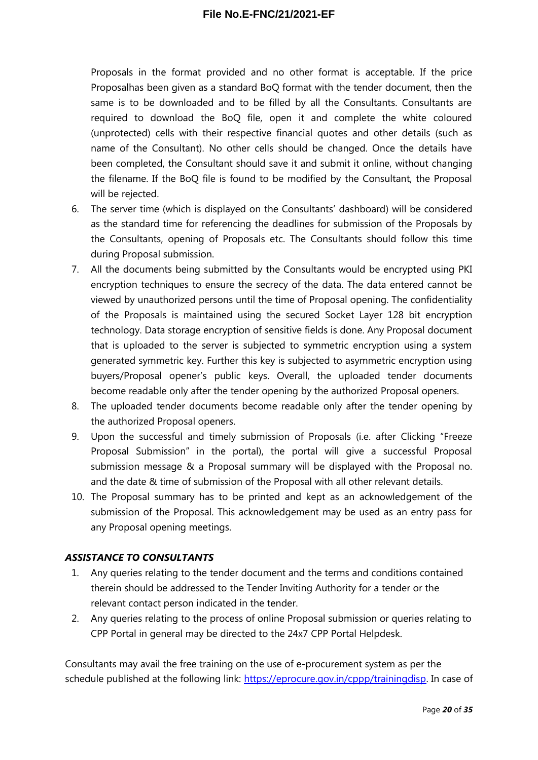Proposals in the format provided and no other format is acceptable. If the price Proposalhas been given as a standard BoQ format with the tender document, then the same is to be downloaded and to be filled by all the Consultants. Consultants are required to download the BoQ file, open it and complete the white coloured (unprotected) cells with their respective financial quotes and other details (such as name of the Consultant). No other cells should be changed. Once the details have been completed, the Consultant should save it and submit it online, without changing the filename. If the BoQ file is found to be modified by the Consultant, the Proposal will be rejected.

- 6. The server time (which is displayed on the Consultants' dashboard) will be considered as the standard time for referencing the deadlines for submission of the Proposals by the Consultants, opening of Proposals etc. The Consultants should follow this time during Proposal submission.
- 7. All the documents being submitted by the Consultants would be encrypted using PKI encryption techniques to ensure the secrecy of the data. The data entered cannot be viewed by unauthorized persons until the time of Proposal opening. The confidentiality of the Proposals is maintained using the secured Socket Layer 128 bit encryption technology. Data storage encryption of sensitive fields is done. Any Proposal document that is uploaded to the server is subjected to symmetric encryption using a system generated symmetric key. Further this key is subjected to asymmetric encryption using buyers/Proposal opener's public keys. Overall, the uploaded tender documents become readable only after the tender opening by the authorized Proposal openers.
- 8. The uploaded tender documents become readable only after the tender opening by the authorized Proposal openers.
- 9. Upon the successful and timely submission of Proposals (i.e. after Clicking "Freeze Proposal Submission" in the portal), the portal will give a successful Proposal submission message & a Proposal summary will be displayed with the Proposal no. and the date & time of submission of the Proposal with all other relevant details.
- 10. The Proposal summary has to be printed and kept as an acknowledgement of the submission of the Proposal. This acknowledgement may be used as an entry pass for any Proposal opening meetings.

#### *ASSISTANCE TO CONSULTANTS*

- 1. Any queries relating to the tender document and the terms and conditions contained therein should be addressed to the Tender Inviting Authority for a tender or the relevant contact person indicated in the tender.
- 2. Any queries relating to the process of online Proposal submission or queries relating to CPP Portal in general may be directed to the 24x7 CPP Portal Helpdesk.

Consultants may avail the free training on the use of e-procurement system as per the schedule published at the following link: [https://eprocure.gov.in/cppp/trainingdisp.](https://eprocure.gov.in/cppp/trainingdisp) In case of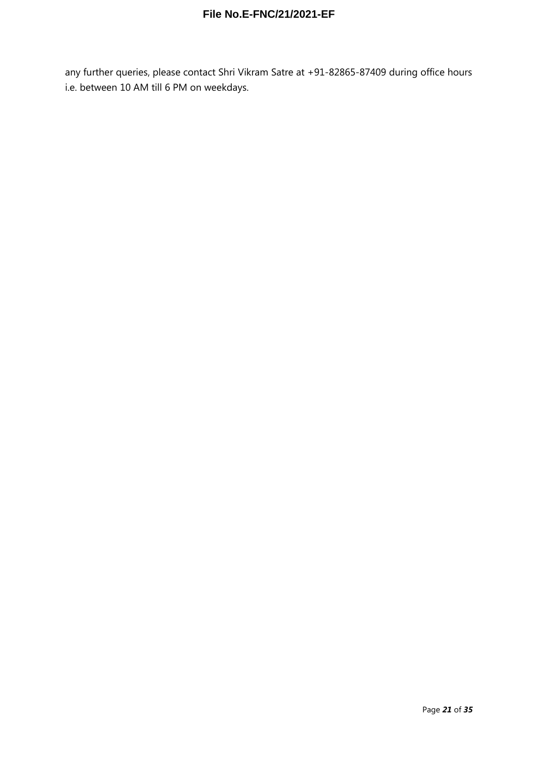any further queries, please contact Shri Vikram Satre at +91-82865-87409 during office hours i.e. between 10 AM till 6 PM on weekdays.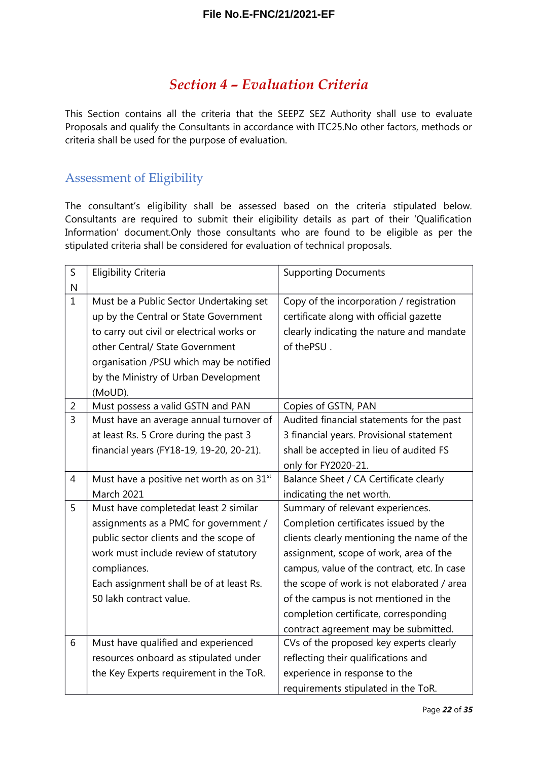### <span id="page-21-1"></span>*Section 4 – Evaluation Criteria*

This Section contains all the criteria that the SEEPZ SEZ Authority shall use to evaluate Proposals and qualify the Consultants in accordance with ITC25.No other factors, methods or criteria shall be used for the purpose of evaluation.

#### <span id="page-21-0"></span>Assessment of Eligibility

The consultant's eligibility shall be assessed based on the criteria stipulated below. Consultants are required to submit their eligibility details as part of their 'Qualification Information' document.Only those consultants who are found to be eligible as per the stipulated criteria shall be considered for evaluation of technical proposals.

| $\mathsf S$    | <b>Eligibility Criteria</b>                           | <b>Supporting Documents</b>                 |
|----------------|-------------------------------------------------------|---------------------------------------------|
| N              |                                                       |                                             |
| $\mathbf{1}$   | Must be a Public Sector Undertaking set               | Copy of the incorporation / registration    |
|                | up by the Central or State Government                 | certificate along with official gazette     |
|                | to carry out civil or electrical works or             | clearly indicating the nature and mandate   |
|                | other Central/ State Government                       | of thePSU.                                  |
|                | organisation /PSU which may be notified               |                                             |
|                | by the Ministry of Urban Development                  |                                             |
|                | (MoUD).                                               |                                             |
| $\overline{2}$ | Must possess a valid GSTN and PAN                     | Copies of GSTN, PAN                         |
| $\overline{3}$ | Must have an average annual turnover of               | Audited financial statements for the past   |
|                | at least Rs. 5 Crore during the past 3                | 3 financial years. Provisional statement    |
|                | financial years (FY18-19, 19-20, 20-21).              | shall be accepted in lieu of audited FS     |
|                |                                                       | only for FY2020-21.                         |
| $\overline{4}$ | Must have a positive net worth as on 31 <sup>st</sup> | Balance Sheet / CA Certificate clearly      |
|                | <b>March 2021</b>                                     | indicating the net worth.                   |
| 5              | Must have completedat least 2 similar                 | Summary of relevant experiences.            |
|                | assignments as a PMC for government /                 | Completion certificates issued by the       |
|                | public sector clients and the scope of                | clients clearly mentioning the name of the  |
|                | work must include review of statutory                 | assignment, scope of work, area of the      |
|                | compliances.                                          | campus, value of the contract, etc. In case |
|                | Each assignment shall be of at least Rs.              | the scope of work is not elaborated / area  |
|                | 50 lakh contract value.                               | of the campus is not mentioned in the       |
|                |                                                       | completion certificate, corresponding       |
|                |                                                       | contract agreement may be submitted.        |
| 6              | Must have qualified and experienced                   | CVs of the proposed key experts clearly     |
|                | resources onboard as stipulated under                 | reflecting their qualifications and         |
|                | the Key Experts requirement in the ToR.               | experience in response to the               |
|                |                                                       | requirements stipulated in the ToR.         |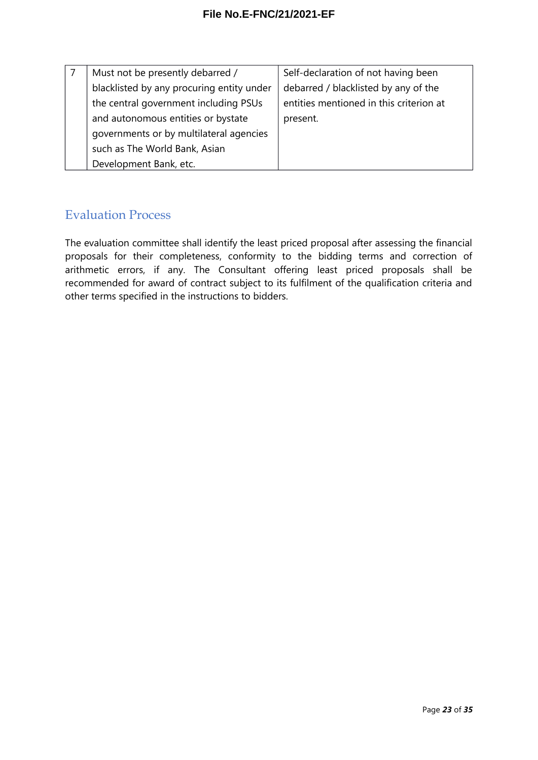| Must not be presently debarred /          | Self-declaration of not having been     |
|-------------------------------------------|-----------------------------------------|
| blacklisted by any procuring entity under | debarred / blacklisted by any of the    |
| the central government including PSUs     | entities mentioned in this criterion at |
| and autonomous entities or bystate        | present.                                |
| governments or by multilateral agencies   |                                         |
| such as The World Bank, Asian             |                                         |
| Development Bank, etc.                    |                                         |

### <span id="page-22-0"></span>Evaluation Process

The evaluation committee shall identify the least priced proposal after assessing the financial proposals for their completeness, conformity to the bidding terms and correction of arithmetic errors, if any. The Consultant offering least priced proposals shall be recommended for award of contract subject to its fulfilment of the qualification criteria and other terms specified in the instructions to bidders.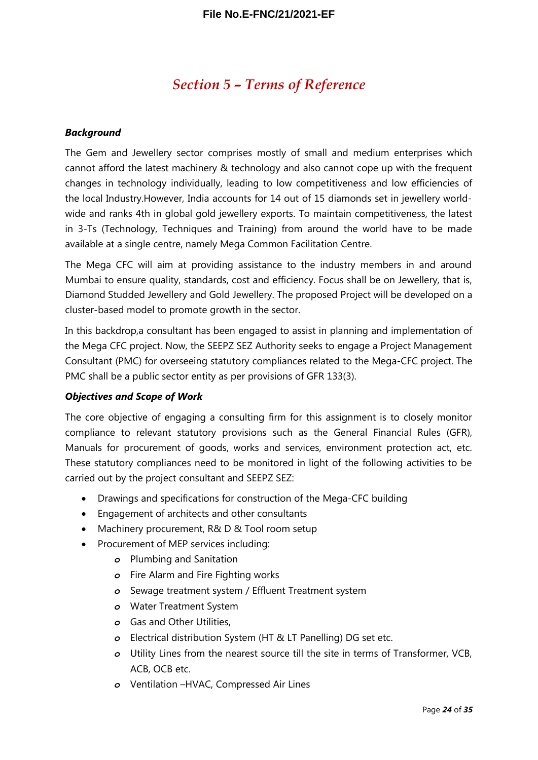### <span id="page-23-0"></span>*Section 5 – Terms of Reference*

#### *Background*

The Gem and Jewellery sector comprises mostly of small and medium enterprises which cannot afford the latest machinery & technology and also cannot cope up with the frequent changes in technology individually, leading to low competitiveness and low efficiencies of the local Industry.However, India accounts for 14 out of 15 diamonds set in jewellery worldwide and ranks 4th in global gold jewellery exports. To maintain competitiveness, the latest in 3-Ts (Technology, Techniques and Training) from around the world have to be made available at a single centre, namely Mega Common Facilitation Centre.

The Mega CFC will aim at providing assistance to the industry members in and around Mumbai to ensure quality, standards, cost and efficiency. Focus shall be on Jewellery, that is, Diamond Studded Jewellery and Gold Jewellery. The proposed Project will be developed on a cluster-based model to promote growth in the sector.

In this backdrop,a consultant has been engaged to assist in planning and implementation of the Mega CFC project. Now, the SEEPZ SEZ Authority seeks to engage a Project Management Consultant (PMC) for overseeing statutory compliances related to the Mega-CFC project. The PMC shall be a public sector entity as per provisions of GFR 133(3).

#### *Objectives and Scope of Work*

The core objective of engaging a consulting firm for this assignment is to closely monitor compliance to relevant statutory provisions such as the General Financial Rules (GFR), Manuals for procurement of goods, works and services, environment protection act, etc. These statutory compliances need to be monitored in light of the following activities to be carried out by the project consultant and SEEPZ SEZ:

- Drawings and specifications for construction of the Mega-CFC building
- Engagement of architects and other consultants
- Machinery procurement, R& D & Tool room setup
- Procurement of MEP services including:
	- *o* Plumbing and Sanitation
	- *o* Fire Alarm and Fire Fighting works
	- *o* Sewage treatment system / Effluent Treatment system
	- *o* Water Treatment System
	- *o* Gas and Other Utilities,
	- *o* Electrical distribution System (HT & LT Panelling) DG set etc.
	- *o* Utility Lines from the nearest source till the site in terms of Transformer, VCB, ACB, OCB etc.
	- *o* Ventilation –HVAC, Compressed Air Lines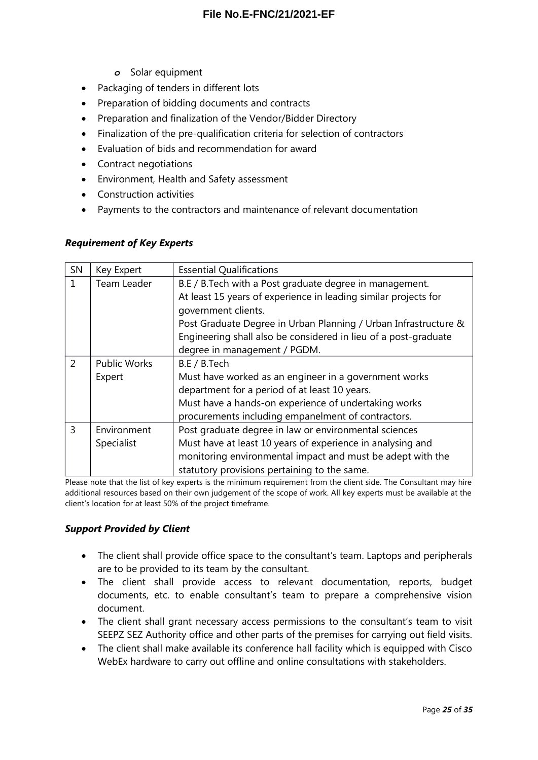- *o* Solar equipment
- Packaging of tenders in different lots
- Preparation of bidding documents and contracts
- Preparation and finalization of the Vendor/Bidder Directory
- Finalization of the pre-qualification criteria for selection of contractors
- Evaluation of bids and recommendation for award
- Contract negotiations
- Environment, Health and Safety assessment
- Construction activities
- Payments to the contractors and maintenance of relevant documentation

#### *Requirement of Key Experts*

| SN | Key Expert          | <b>Essential Qualifications</b>                                 |  |
|----|---------------------|-----------------------------------------------------------------|--|
|    | Team Leader         | B.E / B.Tech with a Post graduate degree in management.         |  |
|    |                     | At least 15 years of experience in leading similar projects for |  |
|    |                     | government clients.                                             |  |
|    |                     | Post Graduate Degree in Urban Planning / Urban Infrastructure & |  |
|    |                     | Engineering shall also be considered in lieu of a post-graduate |  |
|    |                     | degree in management / PGDM.                                    |  |
| 2  | <b>Public Works</b> | B.E / B.Tech                                                    |  |
|    | Expert              | Must have worked as an engineer in a government works           |  |
|    |                     | department for a period of at least 10 years.                   |  |
|    |                     | Must have a hands-on experience of undertaking works            |  |
|    |                     | procurements including empanelment of contractors.              |  |
| 3  | Environment         | Post graduate degree in law or environmental sciences           |  |
|    | Specialist          | Must have at least 10 years of experience in analysing and      |  |
|    |                     | monitoring environmental impact and must be adept with the      |  |
|    |                     | statutory provisions pertaining to the same.                    |  |

Please note that the list of key experts is the minimum requirement from the client side. The Consultant may hire additional resources based on their own judgement of the scope of work. All key experts must be available at the client's location for at least 50% of the project timeframe.

#### *Support Provided by Client*

- The client shall provide office space to the consultant's team. Laptops and peripherals are to be provided to its team by the consultant.
- The client shall provide access to relevant documentation, reports, budget documents, etc. to enable consultant's team to prepare a comprehensive vision document.
- The client shall grant necessary access permissions to the consultant's team to visit SEEPZ SEZ Authority office and other parts of the premises for carrying out field visits.
- The client shall make available its conference hall facility which is equipped with Cisco WebEx hardware to carry out offline and online consultations with stakeholders.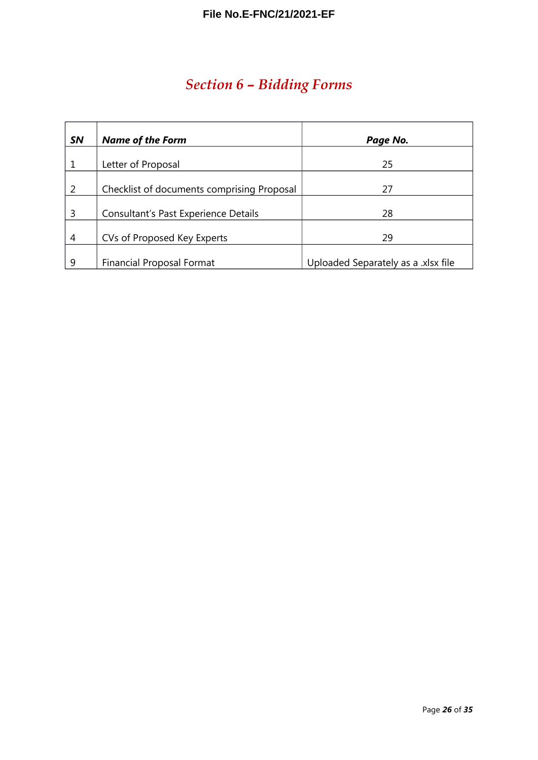# <span id="page-25-0"></span>*Section 6 – Bidding Forms*

| <b>SN</b> | <b>Name of the Form</b>                    | Page No.                            |
|-----------|--------------------------------------------|-------------------------------------|
|           |                                            |                                     |
|           | Letter of Proposal                         | 25                                  |
| 2         | Checklist of documents comprising Proposal | 27                                  |
| 3         | Consultant's Past Experience Details       | 28                                  |
| 4         | CVs of Proposed Key Experts                | 29                                  |
| 9         | <b>Financial Proposal Format</b>           | Uploaded Separately as a .xlsx file |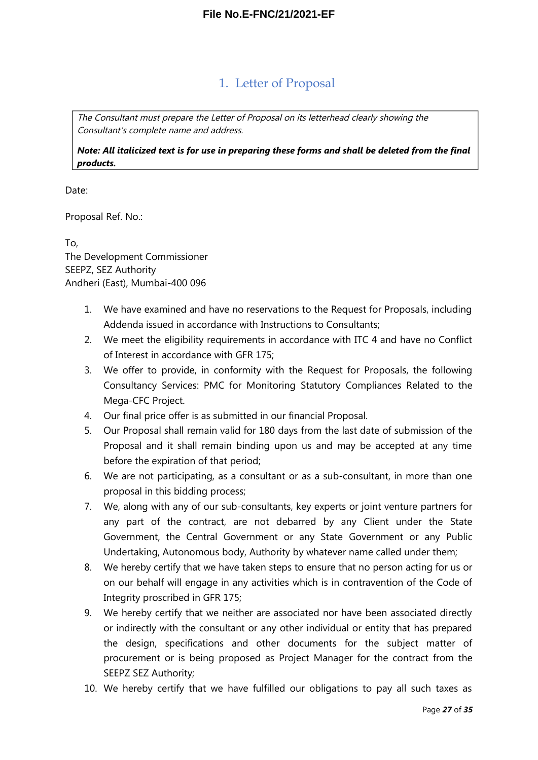### <span id="page-26-0"></span>1. Letter of Proposal

The Consultant must prepare the Letter of Proposal on its letterhead clearly showing the Consultant's complete name and address.

*Note: All italicized text is for use in preparing these forms and shall be deleted from the final products.*

Date:

Proposal Ref. No.:

To, The Development Commissioner SEEPZ, SEZ Authority Andheri (East), Mumbai-400 096

- 1. We have examined and have no reservations to the Request for Proposals, including Addenda issued in accordance with Instructions to Consultants;
- 2. We meet the eligibility requirements in accordance with ITC 4 and have no Conflict of Interest in accordance with GFR 175;
- 3. We offer to provide, in conformity with the Request for Proposals, the following Consultancy Services: PMC for Monitoring Statutory Compliances Related to the Mega-CFC Project.
- 4. Our final price offer is as submitted in our financial Proposal.
- 5. Our Proposal shall remain valid for 180 days from the last date of submission of the Proposal and it shall remain binding upon us and may be accepted at any time before the expiration of that period;
- 6. We are not participating, as a consultant or as a sub-consultant, in more than one proposal in this bidding process;
- 7. We, along with any of our sub-consultants, key experts or joint venture partners for any part of the contract, are not debarred by any Client under the State Government, the Central Government or any State Government or any Public Undertaking, Autonomous body, Authority by whatever name called under them;
- 8. We hereby certify that we have taken steps to ensure that no person acting for us or on our behalf will engage in any activities which is in contravention of the Code of Integrity proscribed in GFR 175;
- 9. We hereby certify that we neither are associated nor have been associated directly or indirectly with the consultant or any other individual or entity that has prepared the design, specifications and other documents for the subject matter of procurement or is being proposed as Project Manager for the contract from the SEEPZ SEZ Authority;
- 10. We hereby certify that we have fulfilled our obligations to pay all such taxes as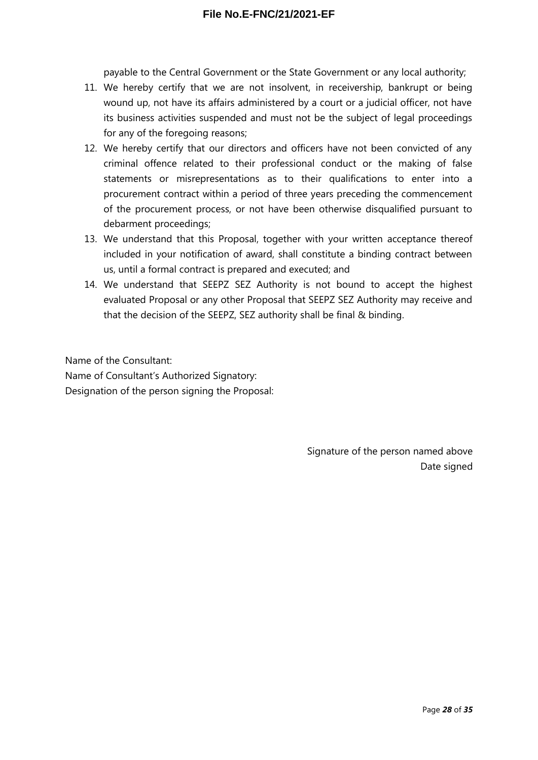payable to the Central Government or the State Government or any local authority;

- 11. We hereby certify that we are not insolvent, in receivership, bankrupt or being wound up, not have its affairs administered by a court or a judicial officer, not have its business activities suspended and must not be the subject of legal proceedings for any of the foregoing reasons;
- 12. We hereby certify that our directors and officers have not been convicted of any criminal offence related to their professional conduct or the making of false statements or misrepresentations as to their qualifications to enter into a procurement contract within a period of three years preceding the commencement of the procurement process, or not have been otherwise disqualified pursuant to debarment proceedings;
- 13. We understand that this Proposal, together with your written acceptance thereof included in your notification of award, shall constitute a binding contract between us, until a formal contract is prepared and executed; and
- 14. We understand that SEEPZ SEZ Authority is not bound to accept the highest evaluated Proposal or any other Proposal that SEEPZ SEZ Authority may receive and that the decision of the SEEPZ, SEZ authority shall be final & binding.

Name of the Consultant: Name of Consultant's Authorized Signatory: Designation of the person signing the Proposal:

> Signature of the person named above Date signed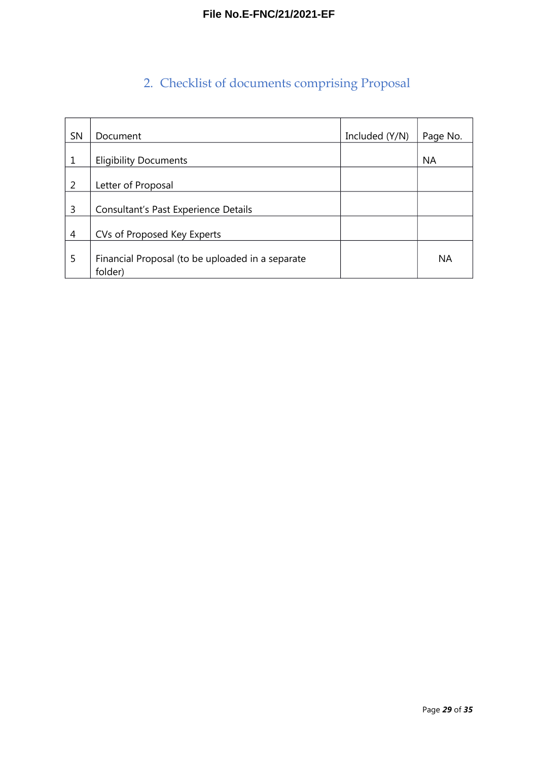# <span id="page-28-0"></span>2. Checklist of documents comprising Proposal

| SN | Document                                                    | Included (Y/N) | Page No.  |
|----|-------------------------------------------------------------|----------------|-----------|
|    |                                                             |                |           |
| 1  | <b>Eligibility Documents</b>                                |                | <b>NA</b> |
| 2  | Letter of Proposal                                          |                |           |
| 3  | Consultant's Past Experience Details                        |                |           |
| 4  | CVs of Proposed Key Experts                                 |                |           |
| 5  | Financial Proposal (to be uploaded in a separate<br>folder) |                | <b>NA</b> |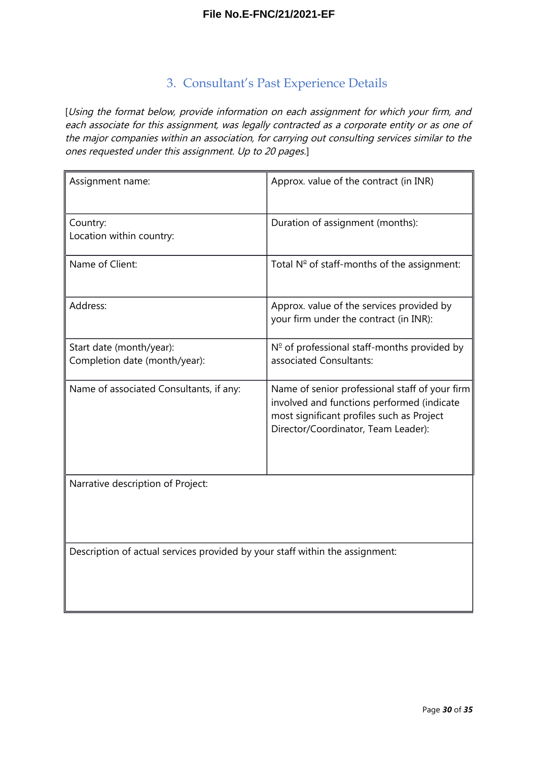### <span id="page-29-0"></span>3. Consultant's Past Experience Details

[Using the format below, provide information on each assignment for which your firm, and each associate for this assignment, was legally contracted as a corporate entity or as one of the major companies within an association, for carrying out consulting services similar to the ones requested under this assignment. Up to 20 pages.]

| Assignment name:                                                             | Approx. value of the contract (in INR)                                                                                                                                           |
|------------------------------------------------------------------------------|----------------------------------------------------------------------------------------------------------------------------------------------------------------------------------|
| Country:<br>Location within country:                                         | Duration of assignment (months):                                                                                                                                                 |
| Name of Client:                                                              | Total $N^{\circ}$ of staff-months of the assignment:                                                                                                                             |
| Address:                                                                     | Approx. value of the services provided by<br>your firm under the contract (in INR):                                                                                              |
| Start date (month/year):<br>Completion date (month/year):                    | $N°$ of professional staff-months provided by<br>associated Consultants:                                                                                                         |
| Name of associated Consultants, if any:                                      | Name of senior professional staff of your firm<br>involved and functions performed (indicate<br>most significant profiles such as Project<br>Director/Coordinator, Team Leader): |
| Narrative description of Project:                                            |                                                                                                                                                                                  |
| Description of actual services provided by your staff within the assignment: |                                                                                                                                                                                  |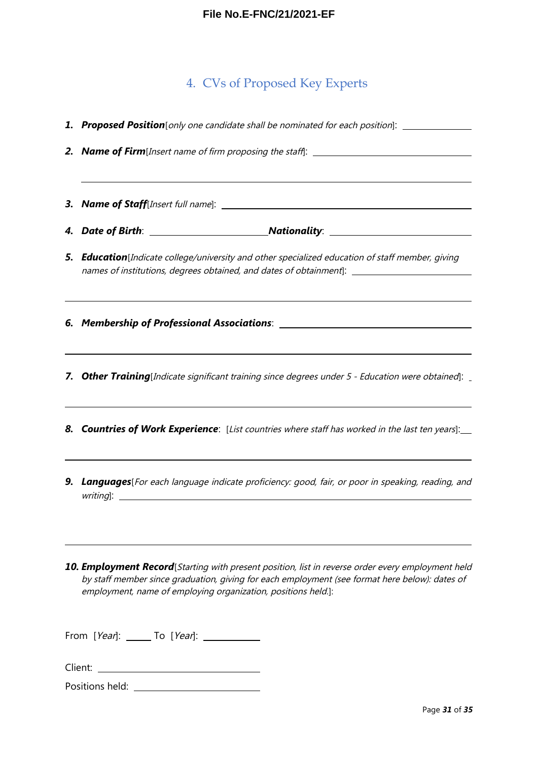### <span id="page-30-0"></span>4. CVs of Proposed Key Experts

|  | 1. Proposed Position [only one candidate shall be nominated for each position]: ___________________<br>2. Name of Firm[Insert name of firm proposing the staff]: _______________________                                                                             |  |  |  |  |  |  |
|--|----------------------------------------------------------------------------------------------------------------------------------------------------------------------------------------------------------------------------------------------------------------------|--|--|--|--|--|--|
|  |                                                                                                                                                                                                                                                                      |  |  |  |  |  |  |
|  |                                                                                                                                                                                                                                                                      |  |  |  |  |  |  |
|  |                                                                                                                                                                                                                                                                      |  |  |  |  |  |  |
|  | <b>5. Education</b> [Indicate college/university and other specialized education of staff member, giving<br>names of institutions, degrees obtained, and dates of obtainment]: ________________________________                                                      |  |  |  |  |  |  |
|  | <u> 1989 - Andrea Santa Andrea Santa Andrea Santa Andrea Santa Andrea Santa Andrea Santa Andrea Santa Andrea San</u>                                                                                                                                                 |  |  |  |  |  |  |
|  | 7. Other Training[Indicate significant training since degrees under 5 - Education were obtained]: _                                                                                                                                                                  |  |  |  |  |  |  |
|  | 8. Countries of Work Experience: [List countries where staff has worked in the last ten years]:                                                                                                                                                                      |  |  |  |  |  |  |
|  | 9. Languages[For each language indicate proficiency: good, fair, or poor in speaking, reading, and                                                                                                                                                                   |  |  |  |  |  |  |
|  | 10. Employment Record[Starting with present position, list in reverse order every employment held<br>by staff member since graduation, giving for each employment (see format here below): dates of<br>employment, name of employing organization, positions held.]: |  |  |  |  |  |  |
|  | To [Year]:<br>From [Year]:                                                                                                                                                                                                                                           |  |  |  |  |  |  |

Client:

Positions held: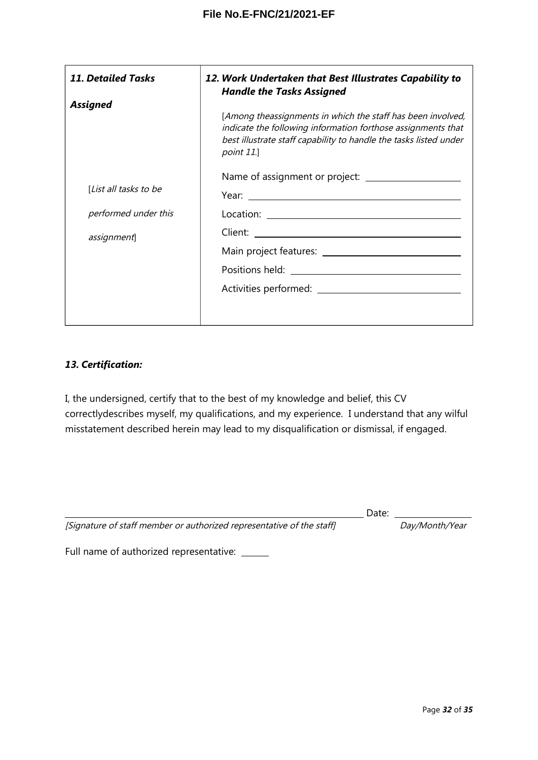| <b>11. Detailed Tasks</b>                             | 12. Work Undertaken that Best Illustrates Capability to<br><b>Handle the Tasks Assigned</b>                                                                                                                    |  |  |
|-------------------------------------------------------|----------------------------------------------------------------------------------------------------------------------------------------------------------------------------------------------------------------|--|--|
| <b>Assigned</b>                                       | [Among theassignments in which the staff has been involved,<br>indicate the following information forthose assignments that<br>best illustrate staff capability to handle the tasks listed under<br>point 11.] |  |  |
| [ <i>List all tasks to be</i><br>performed under this |                                                                                                                                                                                                                |  |  |
| assignment]                                           |                                                                                                                                                                                                                |  |  |
|                                                       |                                                                                                                                                                                                                |  |  |

#### *13. Certification:*

I, the undersigned, certify that to the best of my knowledge and belief, this CV correctlydescribes myself, my qualifications, and my experience. I understand that any wilful misstatement described herein may lead to my disqualification or dismissal, if engaged.

| [Signature of staff member or authorized representative of the staff] |  |  |
|-----------------------------------------------------------------------|--|--|
|                                                                       |  |  |

Day/Month/Year

Date:

Full name of authorized representative: \_\_\_\_\_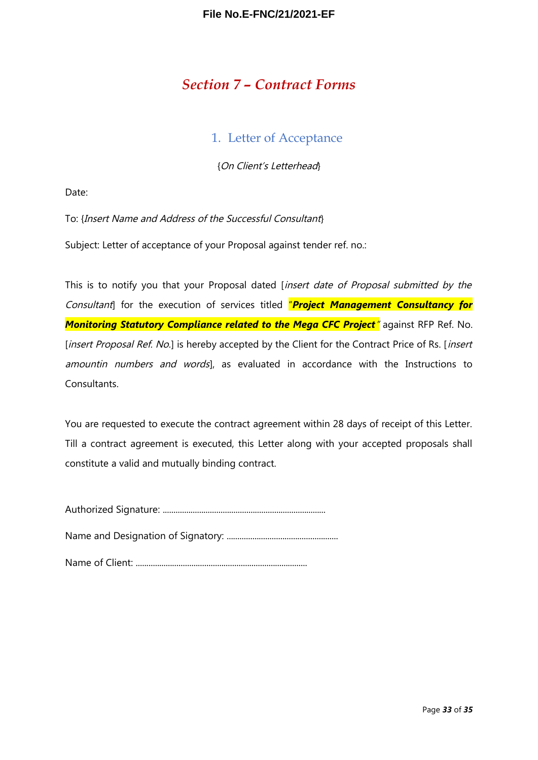### <span id="page-32-1"></span>*Section 7 – Contract Forms*

#### <span id="page-32-0"></span>1. Letter of Acceptance

{On Client's Letterhead}

Date:

To: {Insert Name and Address of the Successful Consultant}

Subject: Letter of acceptance of your Proposal against tender ref. no.:

This is to notify you that your Proposal dated [insert date of Proposal submitted by the Consultant] for the execution of services titled "*Project Management Consultancy for Monitoring Statutory Compliance related to the Mega CFC Project*" against RFP Ref. No. [insert Proposal Ref. No.] is hereby accepted by the Client for the Contract Price of Rs. [insert amountin numbers and words], as evaluated in accordance with the Instructions to Consultants.

You are requested to execute the contract agreement within 28 days of receipt of this Letter. Till a contract agreement is executed, this Letter along with your accepted proposals shall constitute a valid and mutually binding contract.

Authorized Signature: ............................................................................

Name and Designation of Signatory: ....................................................

Name of Client: ................................................................................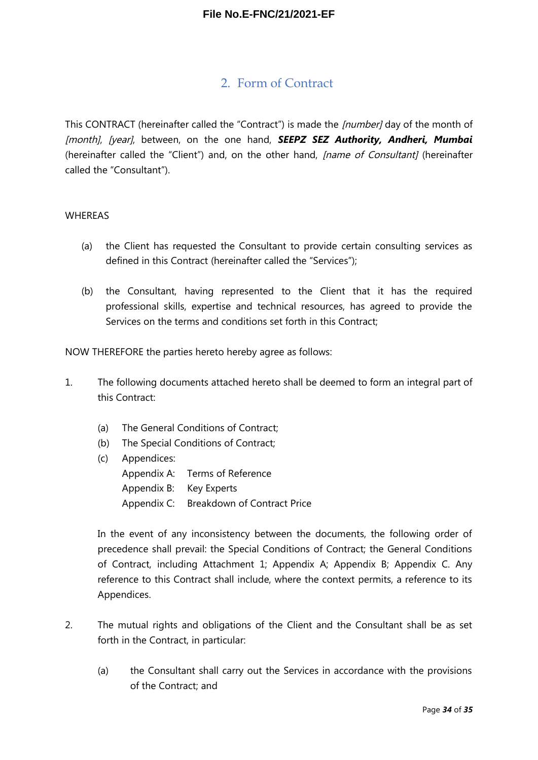### <span id="page-33-0"></span>2. Form of Contract

This CONTRACT (hereinafter called the "Contract") is made the *[number]* day of the month of [month], [year], between, on the one hand, **SEEPZ SEZ Authority, Andheri, Mumbai** (hereinafter called the "Client") and, on the other hand, *[name of Consultant]* (hereinafter called the "Consultant").

#### WHEREAS

- (a) the Client has requested the Consultant to provide certain consulting services as defined in this Contract (hereinafter called the "Services");
- (b) the Consultant, having represented to the Client that it has the required professional skills, expertise and technical resources, has agreed to provide the Services on the terms and conditions set forth in this Contract;

NOW THEREFORE the parties hereto hereby agree as follows:

- 1. The following documents attached hereto shall be deemed to form an integral part of this Contract:
	- (a) The General Conditions of Contract;
	- (b) The Special Conditions of Contract;
	- (c) Appendices:
		- Appendix A: Terms of Reference Appendix B: Key Experts Appendix C: Breakdown of Contract Price

In the event of any inconsistency between the documents, the following order of precedence shall prevail: the Special Conditions of Contract; the General Conditions of Contract, including Attachment 1; Appendix A; Appendix B; Appendix C. Any reference to this Contract shall include, where the context permits, a reference to its Appendices.

- 2. The mutual rights and obligations of the Client and the Consultant shall be as set forth in the Contract, in particular:
	- (a) the Consultant shall carry out the Services in accordance with the provisions of the Contract; and